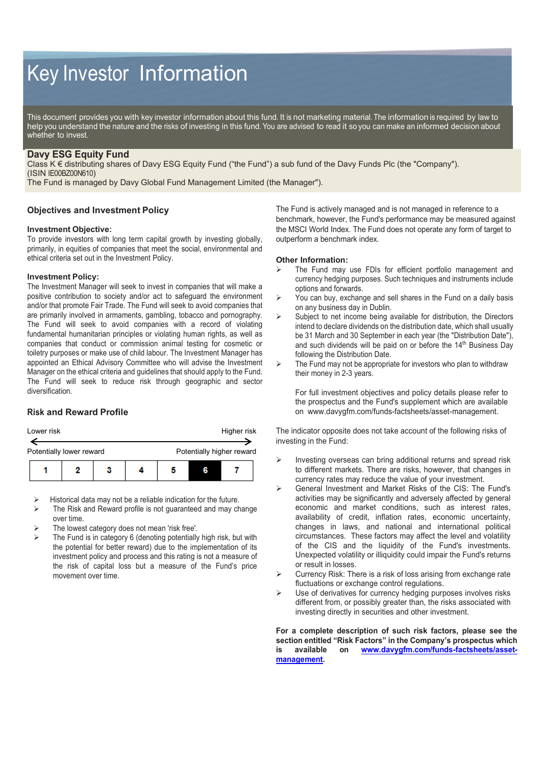# Key Investor Information

This document provides you with key investor information about this fund. It is not marketing material. The information is required by law to help you understand the nature and the risks of investing in this fund. You are advised to read it so you can make an informed decision about whether to invest.

# **Davy ESG Equity Fund**

Class K € distributing shares of Davy ESG Equity Fund ("the Fund") a sub fund of the Davy Funds Plc (the "Company"). (ISIN IE00BZ00N610)

The Fund is managed by Davy Global Fund Management Limited (the Manager").

## **Objectives and Investment Policy**

## **Investment Objective:**

To provide investors with long term capital growth by investing globally, primarily, in equities of companies that meet the social, environmental and ethical criteria set out in the Investment Policy.

#### **Investment Policy:**

The Investment Manager will seek to invest in companies that will make a positive contribution to society and/or act to safeguard the environment and/or that promote Fair Trade. The Fund will seek to avoid companies that are primarily involved in armaments, gambling, tobacco and pornography. The Fund will seek to avoid companies with a record of violating fundamental humanitarian principles or violating human rights, as well as companies that conduct or commission animal testing for cosmetic or toiletry purposes or make use of child labour. The Investment Manager has appointed an Ethical Advisory Committee who will advise the Investment Manager on the ethical criteria and guidelines that should apply to the Fund. The Fund will seek to reduce risk through geographic and sector diversification.

## **Risk and Reward Profile**



- Historical data may not be a reliable indication for the future.
- $\triangleright$  The Risk and Reward profile is not guaranteed and may change over time.
- The lowest category does not mean 'risk free'.
- The Fund is in category 6 (denoting potentially high risk, but with the potential for better reward) due to the implementation of its investment policy and process and this rating is not a measure of the risk of capital loss but a measure of the Fund's price movement over time.

The Fund is actively managed and is not managed in reference to a benchmark, however, the Fund's performance may be measured against the MSCI World Index. The Fund does not operate any form of target to outperform a benchmark index.

#### **Other Information:**

- The Fund may use FDIs for efficient portfolio management and currency hedging purposes. Such techniques and instruments include options and forwards.
- $\triangleright$  You can buy, exchange and sell shares in the Fund on a daily basis on any business day in Dublin.
- $\triangleright$  Subject to net income being available for distribution, the Directors intend to declare dividends on the distribution date, which shall usually be 31 March and 30 September in each year (the "Distribution Date"), and such dividends will be paid on or before the 14<sup>th</sup> Business Day following the Distribution Date.
- $\triangleright$  The Fund may not be appropriate for investors who plan to withdraw their money in 2-3 years.

For full investment objectives and policy details please refer to the prospectus and the Fund's supplement which are available on www.davygfm.com/funds-factsheets/asset-management.

The indicator opposite does not take account of the following risks of investing in the Fund:

- Investing overseas can bring additional returns and spread risk to different markets. There are risks, however, that changes in currency rates may reduce the value of your investment.
- General Investment and Market Risks of the CIS: The Fund's activities may be significantly and adversely affected by general economic and market conditions, such as interest rates, availability of credit, inflation rates, economic uncertainty, changes in laws, and national and international political circumstances. These factors may affect the level and volatility of the CIS and the liquidity of the Fund's investments. Unexpected volatility or illiquidity could impair the Fund's returns or result in losses.
- Currency Risk: There is a risk of loss arising from exchange rate fluctuations or exchange control regulations.
- $\triangleright$  Use of derivatives for currency hedging purposes involves risks different from, or possibly greater than, the risks associated with investing directly in securities and other investment.

**For a complete description of such risk factors, please see the section entitled "Risk Factors" in the Company's prospectus which**  on www.davygfm.com/funds-factsheets/asset**management.**